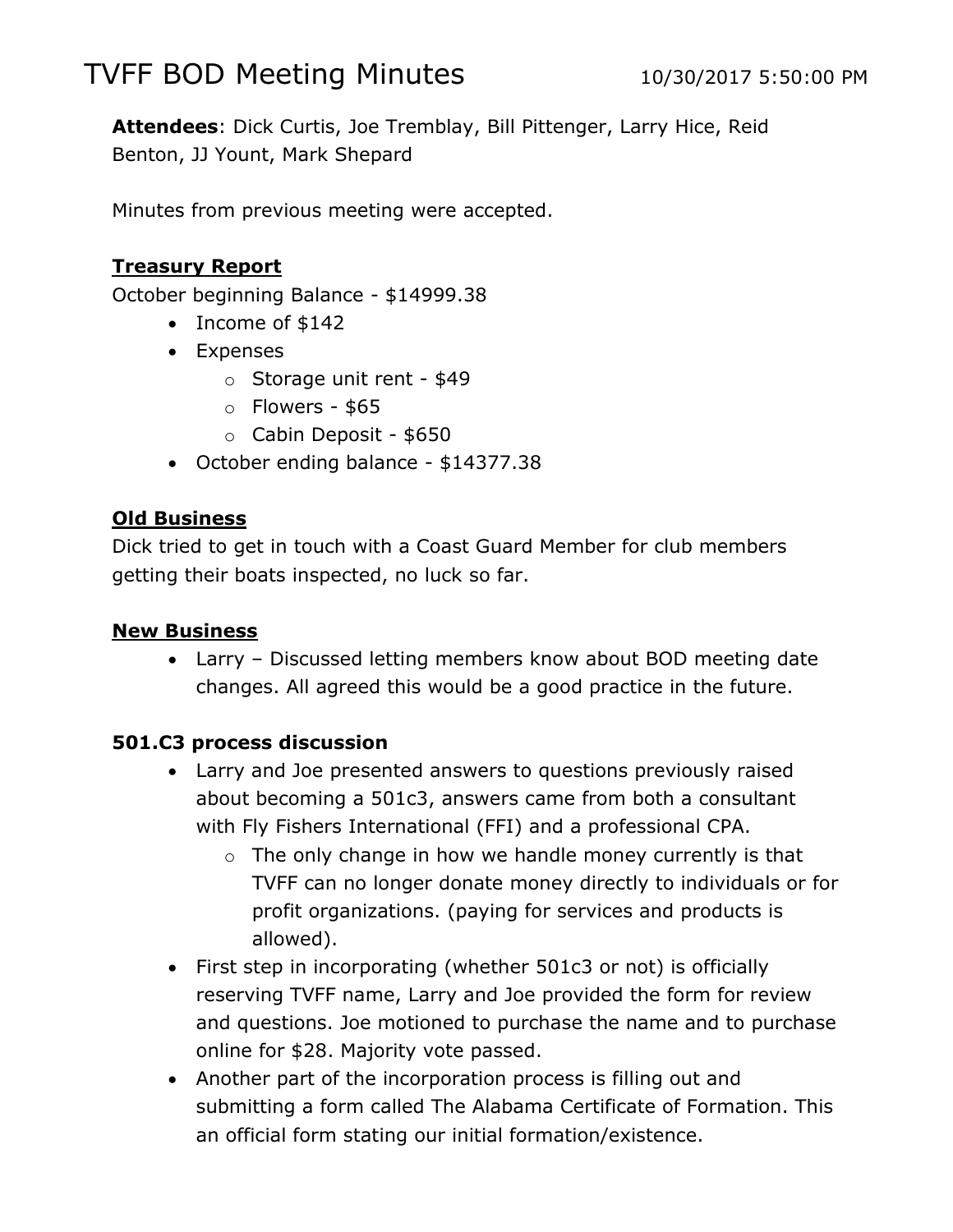# TVFF BOD Meeting Minutes 10/30/2017 5:50:00 PM

**Attendees**: Dick Curtis, Joe Tremblay, Bill Pittenger, Larry Hice, Reid Benton, JJ Yount, Mark Shepard

Minutes from previous meeting were accepted.

### **Treasury Report**

October beginning Balance - \$14999.38

- Income of \$142
- Expenses
	- o Storage unit rent \$49
	- $\circ$  Flowers \$65
	- o Cabin Deposit \$650
- October ending balance \$14377.38

### **Old Business**

Dick tried to get in touch with a Coast Guard Member for club members getting their boats inspected, no luck so far.

### **New Business**

 Larry – Discussed letting members know about BOD meeting date changes. All agreed this would be a good practice in the future.

### **501.C3 process discussion**

- Larry and Joe presented answers to questions previously raised about becoming a 501c3, answers came from both a consultant with Fly Fishers International (FFI) and a professional CPA.
	- $\circ$  The only change in how we handle money currently is that TVFF can no longer donate money directly to individuals or for profit organizations. (paying for services and products is allowed).
- First step in incorporating (whether 501c3 or not) is officially reserving TVFF name, Larry and Joe provided the form for review and questions. Joe motioned to purchase the name and to purchase online for \$28. Majority vote passed.
- Another part of the incorporation process is filling out and submitting a form called The Alabama Certificate of Formation. This an official form stating our initial formation/existence.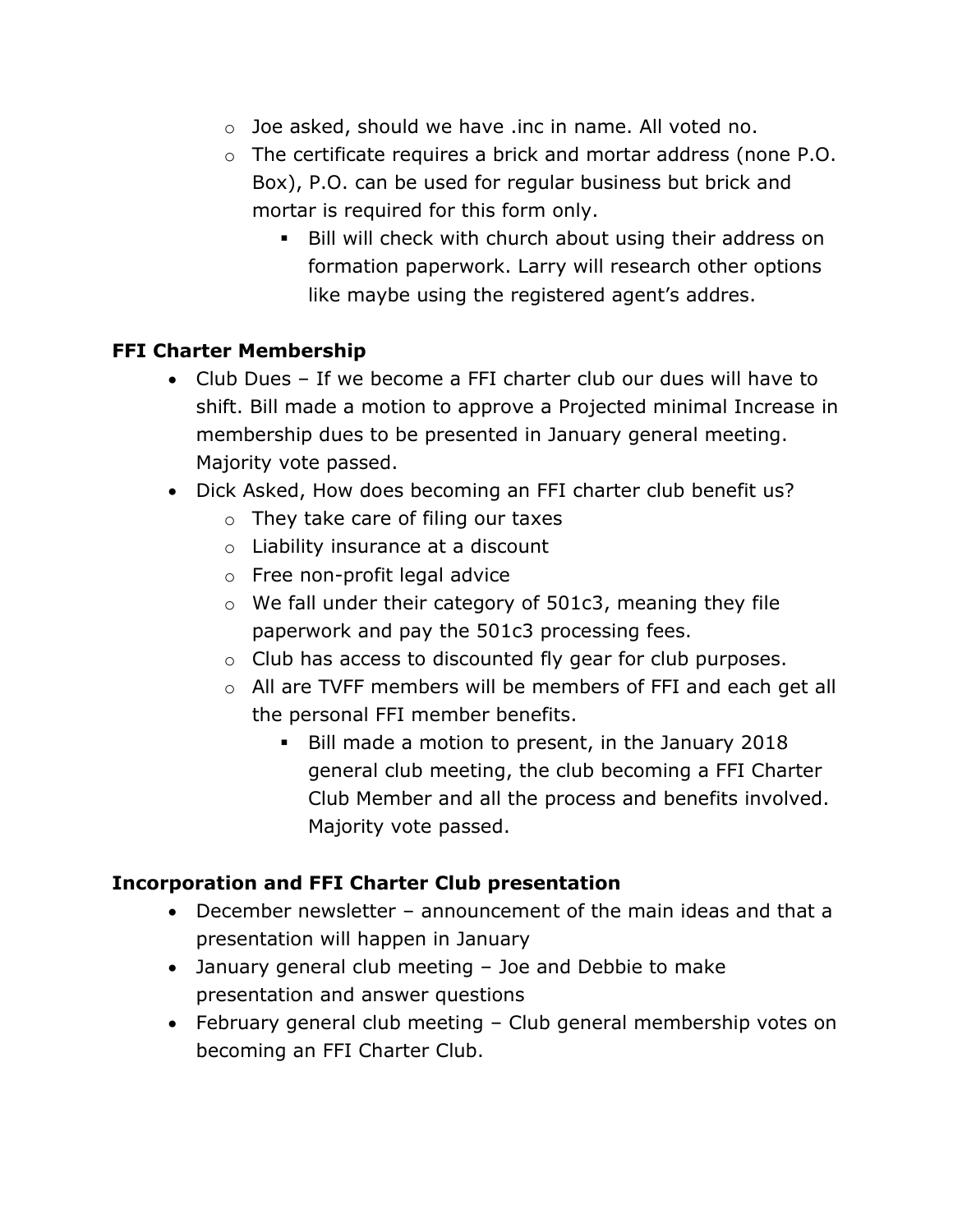- o Joe asked, should we have .inc in name. All voted no.
- o The certificate requires a brick and mortar address (none P.O. Box), P.O. can be used for regular business but brick and mortar is required for this form only.
	- Bill will check with church about using their address on formation paperwork. Larry will research other options like maybe using the registered agent's addres.

### **FFI Charter Membership**

- Club Dues If we become a FFI charter club our dues will have to shift. Bill made a motion to approve a Projected minimal Increase in membership dues to be presented in January general meeting. Majority vote passed.
- Dick Asked, How does becoming an FFI charter club benefit us?
	- o They take care of filing our taxes
	- o Liability insurance at a discount
	- o Free non-profit legal advice
	- o We fall under their category of 501c3, meaning they file paperwork and pay the 501c3 processing fees.
	- o Club has access to discounted fly gear for club purposes.
	- o All are TVFF members will be members of FFI and each get all the personal FFI member benefits.
		- Bill made a motion to present, in the January 2018 general club meeting, the club becoming a FFI Charter Club Member and all the process and benefits involved. Majority vote passed.

### **Incorporation and FFI Charter Club presentation**

- December newsletter announcement of the main ideas and that a presentation will happen in January
- January general club meeting Joe and Debbie to make presentation and answer questions
- February general club meeting Club general membership votes on becoming an FFI Charter Club.